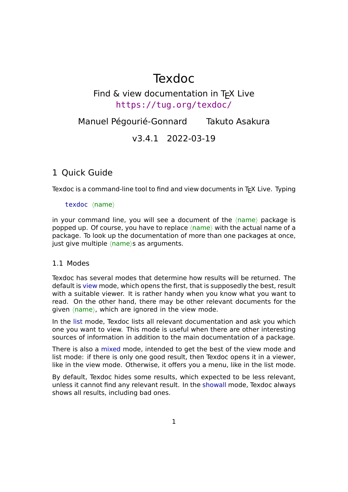# Texdoc

# Find  $\&$  view documentation in T<sub>F</sub>X Live https://tug.org/texdoc/

Manuel Pégourié-Gonnard Takuto Asakura

[v3.4.1 2022-03-19](https://tug.org/texdoc/)

# 1 Quick Guide

Texdoc is a command-line tool to find and view documents in T<sub>F</sub>X Live. Typing

# texdoc *⟨*name*⟩*

in your command line, you will see a document of the *⟨*name*⟩* package is popped up. Of course, you have to replace *⟨*name*⟩* with the actual name of a package. To look up the documentation of more than one packages at once, just give multiple *⟨*name*⟩*s as arguments.

# 1.1 Modes

<span id="page-0-0"></span>Texdoc has several modes that determine how results will be returned. The default is view mode, which opens the first, that is supposedly the best, result with a suitable viewer. It is rather handy when you know what you want to read. On the other hand, there may be other relevant documents for the given *⟨*name*⟩*, which are ignored in the view mode.

In the list mode, Texdoc lists all relevant documentation and ask you which one you want to view. This mode is useful when there are other interesting sources of information in addition to the main documentation of a package.

There is also a mixed mode, intended to get the best of the view mode and list mode: if there is only one good result, then Texdoc opens it in a viewer, like in the view mode. Otherwise, it offers you a menu, like in the list mode.

By default, Texdoc hides some results, which expected to be less relevant, unless it cannot find any relevant result. In the showall mode, Texdoc always shows all results, including bad ones.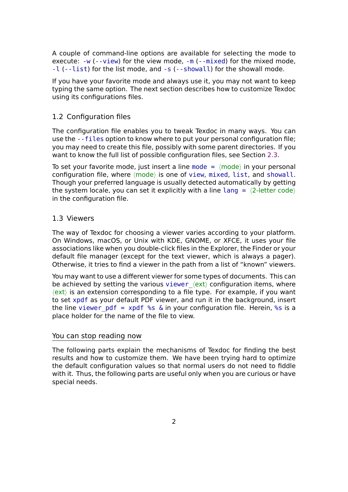A couple of command-line options are available for selecting the mode to execute:  $-w$  (--view) for the view mode,  $-m$  (--mixed) for the mixed mode, -l (--list) for the list mode, and -s (--showall) for the showall mode.

If you have your favorite mode and always use it, you may not want to keep typing th[e sa](#page-3-0)[me optio](#page-3-1)n. The next section [des](#page-3-2)[cribes how](#page-3-3) to customize Texdoc [usi](#page-3-4)[ng its co](#page-3-5)nfigurations files.

# 1.2 Configuration files

<span id="page-1-0"></span>The configuration file enables you to tweak Texdoc in many ways. You can use the --files option to know where to put your personal configuration file; you may need to create this file, possibly with some parent directories. If you want to know the full list of possible configuration files, see Section 2.3.

To set y[our favor](#page-2-0)ite mode, just insert a line mode = *⟨*mode*⟩* in your personal configuration file, where *⟨*mode*⟩* is one of view, mixed, list, and showall. Though your preferred language is usually detected automatically b[y ge](#page-5-0)tting the system locale, you can set it explicitly [with a](#page-11-0) line lang = *⟨*2-letter code*⟩* in the configuration file.

# 1.3 Viewers

The way of Texdoc for choosing a viewer varies according to your platform. On Windows, macOS, or Unix with KDE, GNOME, or XFCE, it uses your file associations like when you double-click files in the Explorer, the Finder or your default file manager (except for the text viewer, which is always a pager). Otherwise, it tries to find a viewer in the path from a list of "known" viewers.

You may want to use a different viewer for some types of documents. This can be achieved by setting the various viewer  $\langle$ ext $\rangle$  configuration items, where *⟨*ext*⟩* is an extension corresponding to a file type. For example, if you want to set xpdf as your default PDF viewer, and run it in the background, insert the line viewer pdf = xpdf %s & in your configuration file. Herein, %s is a place holder for the name of the fil[e to view.](#page-12-0)

### You can stop reading now

The following parts explain the mechanisms of Texdoc for finding the best results and how to customize them. We have been trying hard to optimize the default configuration values so that normal users do not need to fiddle with it. Thus, the following parts are useful only when you are curious or have special needs.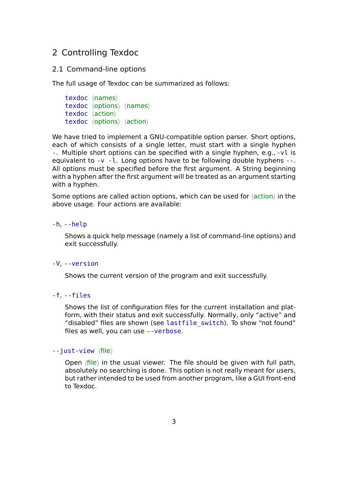# 2 Controlling Texdoc

### 2.1 Command-line options

The full usage of Texdoc can be summarized as follows:

```
texdoc ⟨names⟩
texdoc ⟨options⟩ ⟨names⟩
texdoc ⟨action⟩
texdoc ⟨options⟩ ⟨action⟩
```
We have tried to implement a GNU-compatible option parser. Short options, each of which consists of a single letter, must start with a single hyphen -. Multiple short options can be specified with a single hyphen, e.g., -vl is equivalent to  $-v - 1$ . Long options have to be following double hyphens  $-v$ . All options must be specified before the first argument. A String beginning with a hyphen after the first argument will be treated as an argument starting with a hyphen.

Some options are called action options, which can be used for *⟨*action*⟩* in the above usage. Four actions are available:

#### -h, --help

Shows a quick help message (namely a list of command-line options) and exit successfully.

#### -V, --version

Shows the current version of the program and exit successfully.

#### -f, --files

<span id="page-2-0"></span>Shows the list of configuration files for the current installation and platform, with their status and exit successfully. Normally, only "active" and "disabled" files are shown (see lastfile\_switch). To show "not found" files as well, you can use --verbose.

### --just-view *⟨*file*⟩*

Open *⟨*file*⟩* in the usualv[iewer. The](#page-4-0) file should be given with full path, absolutely no searching is done. This option is not really meant for users, but rather intended to be used from another program, like a GUI front-end to Texdoc.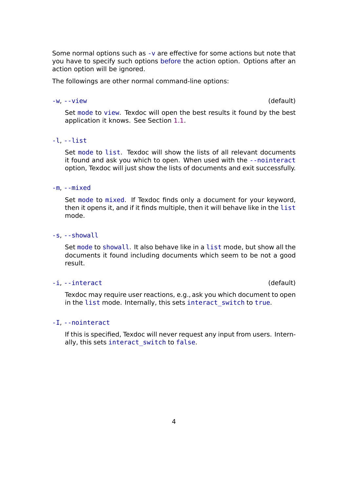Some normal options such as -v are effective for some actions but note that you have to specify such options before the action option. Options after an action option will be ignored.

The followings are other nor[mal](#page-4-1) command-line options:

#### -w, --view (default)

Set mode to view. Texdoc will open the best results it found by the best application it knows. See Section 1.1.

#### <span id="page-3-1"></span><span id="page-3-0"></span>-l, --l[ist](#page-11-0)

Set mode to list. Texdoc will sh[ow t](#page-0-0)he lists of all relevant documents it found and ask you which to open. When used with the --nointeract option, Texdoc will just show the lists of documents and exit successfully.

#### <span id="page-3-5"></span><span id="page-3-4"></span>-m, --mixed

Set mode to mixed. If Texdoc finds only a document for your keyword, then it opens it, and if it finds multiple, then it will behave like in the list mode.

#### <span id="page-3-3"></span><span id="page-3-2"></span>-s, --showall

Set mode to showall. It also behave like in a list mode, but show all the documents it found including documents which seem to be not a good result.

#### -i, --i[ntera](#page-11-0)ct (default)

Texdoc may require user reactions, e.g., ask you which document to open in the list mode. Internally, this sets interact switch to true.

#### -I, --nointeract

If this is specified, Texdoc will never re[quest any input from](#page-11-1) users. Internally, this sets interact\_switch to false.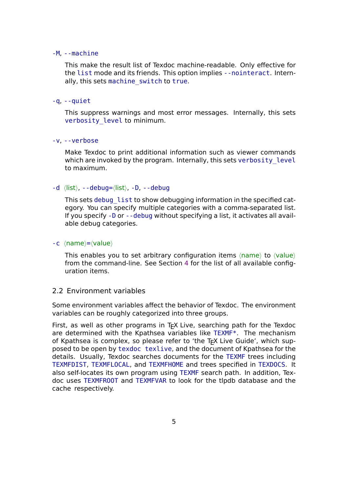#### -M, --machine

This make the result list of Texdoc machine-readable. Only effective for the list mode and its friends. This option implies --nointeract. Internally, this sets machine switch to true.

## $-q$ ,  $-q$ uiet

This suppres[s warnings and m](#page-13-0)ost error messages. Internally, this sets verbosity level to minimum.

## -v, --verbose

[Make Texdoc to pr](#page-12-1)int additional information such as viewer commands which are invoked by the program. Internally, this sets verbosity level to maximum.

# <span id="page-4-1"></span><span id="page-4-0"></span>-d *⟨*list*⟩*, --debug=*⟨*list*⟩*, -D, --debug

This sets debug list to show debugging information in the specified category. You can specify multiple categories with a comma-separated list. If you specify -D or --debug without specifying a list, it activates all available deb[ug categories](#page-13-1).

## -c *⟨*name*⟩*=*⟨*value*⟩*

This enables you to set arbitrary configuration items *⟨*name*⟩* to *⟨*value*⟩* from the command-line. See Section 4 for the list of all available configuration items.

# 2.2 Environment variables

Some environment variables affect the behavior of Texdoc. The environment variables can be roughly categorized into three groups.

First, as well as other programs in  $Tr X$  Live, searching path for the Texdoc are determined with the Kpathsea variables like TEXMF\*. The mechanism of Kpathsea is complex, so please refer to 'the T<sub>F</sub>X Live Guide', which supposed to be open by texdoc texlive, and the document of Kpathsea for the details. Usually, Texdoc searches documents for the TEXMF trees including TEXMFDIST, TEXMFLOCAL, and TEXMFHOME and trees specified in TEXDOCS. It also self-locates its own program using TEXMF search path. In addition, Texdoc uses TEXMFROOT and TEXMFVAR to look for the tlpdb database and the cache respectively.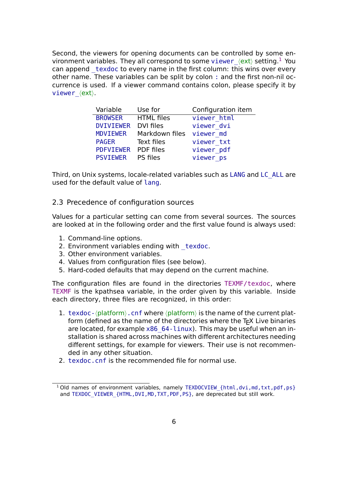Second, the viewers for opening documents can be controlled by some environment variables. They all correspond to some viewer\_*⟨*ext*⟩* setting.<sup>1</sup> You can append texdoc to every name in the first column: this wins over every other name. These variables can be split by colon : and the first non-nil occurrence is used. If a viewer command contains [colon, please](#page-12-0) specif[y i](#page-5-1)t by viewer\_*⟨*ext*⟩*.

| Variable                 | Use for                  | Configuration item |
|--------------------------|--------------------------|--------------------|
| <b>BROWSER</b>           | HTML files               | viewer_html        |
| DVIVIEWER DVI files      |                          | viewer dvi         |
| MDVIEWER                 | Markdown files viewer md |                    |
| <b>PAGER</b>             | Text files               | viewer txt         |
| PDFVIEWER PDF files      |                          | viewer pdf         |
| <b>PSVIEWER</b> PS files |                          | viewer_ps          |

Third, on Unix systems, locale-related variables such as LANG and LC\_ALL are used for the default value of lang.

# 2.3 Precedence of configuration sources

<span id="page-5-0"></span>Values for a particular setti[ng can](#page-12-2) come from several sources. The sources are looked at in the following order and the first value found is always used:

- 1. Command-line options.
- 2. Environment variables ending with texdoc.
- 3. Other environment variables.
- 4. Values from configuration files (see below).
- 5. Hard-coded defaults that may depend on the current machine.

The configuration files are found in the directories TEXMF/texdoc, where TEXMF is the kpathsea variable, in the order given by this variable. Inside each directory, three files are recognized, in this order:

- 1. texdoc- $\langle$ platform $\rangle$ .cnf where  $\langle$ platform $\rangle$  is the name of the current platform (defined as the name of the directories where the  $Tr X$  Live binaries are located, for example  $x86$   $64$ -linux). This may be useful when an installation is shared across machines with different architectures needing different settings, for example for viewers. Their use is not recommended in any other situation.
- 2. texdoc.cnf is the recommended file for normal use.

<span id="page-5-1"></span><sup>&</sup>lt;sup>1</sup> Old names of environment variables, namely TEXDOCVIEW {html,dvi,md,txt,pdf,ps} and TEXDOC\_VIEWER\_{HTML,DVI,MD, TXT, PDF, PS}, are deprecated but still work.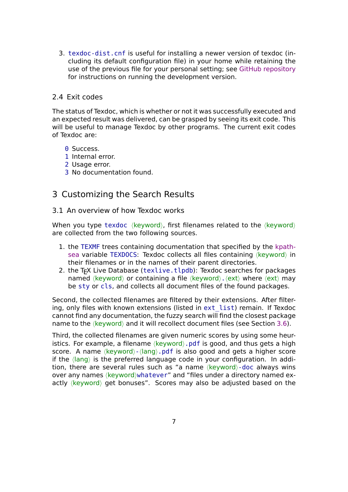3. texdoc-dist.cnf is useful for installing a newer version of texdoc (including its default configuration file) in your home while retaining the use of the previous file for your personal setting; see GitHub repository for instructions on running the development version.

# 2.4 Exit codes

The status of Texdoc, which is whether or not it was successfully executed and an expected result was delivered, can be grasped by seeing its exit code. This will be useful to manage Texdoc by other programs. The current exit codes of Texdoc are:

- **0 Success.**
- 1 Internal error.
- 2 Usage error.
- 3 No documentation found.

# 3 Customizing the Search Results

3.1 An overview of how Texdoc works

When you type texdoc *⟨*keyword*⟩*, first filenames related to the *⟨*keyword*⟩* are collected from the two following sources.

- 1. the TEXMF trees containing documentation that specified by the kpathsea variable TEXDOCS: Texdoc collects all files containing *⟨*keyword*⟩* in their filenames or in the names of their parent directories.
- 2. the T<sub>F</sub>X Live Database (texlive.tlpdb): Texdoc searches for packages named *⟨*keyword*⟩* or containing a file *⟨*keyword*⟩*.*⟨*ext*⟩* where *⟨*ext*⟩* [may](https://www.tug.org/kpathsea/) [be](https://www.tug.org/kpathsea/) sty or cls, and collects all document files of the found packages.

Second, the collected filenames are filtered by their extensions. After filtering, only files with known extensions (listed in ext\_list) remain. If Texdoc cannot find any documentation, the fuzzy search will find the closest package name to the *⟨*keyword*⟩* and it will recollect document files (see Section 3.6).

Third, the collected filenames are given numeri[c scores b](#page-11-2)y using some heuristics. For example, a filename *⟨*keyword*⟩*.pdf is good, and thus gets a high score. A name *⟨*keyword*⟩*-*⟨*lang*⟩*.pdf is also good and gets a higher [sco](#page-10-0)re if the *⟨*lang*⟩* is the preferred language code in your configuration. In addition, there are several rules such as "a name *⟨*keyword*⟩*-doc always wins over any names *⟨*keyword*⟩*whatever" and "files under a directory named exactly *⟨*keyword*⟩* get bonuses". Scores may also be adjusted based on the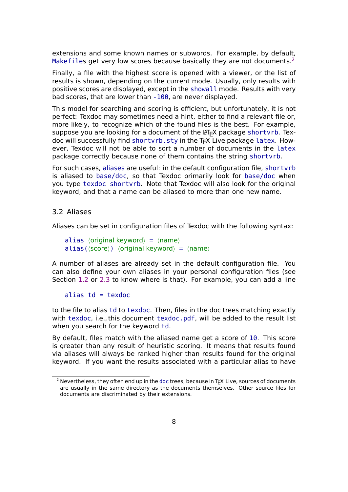extensions and some known names or subwords. For example, by default, Makefiles get very low scores because basically they are not documents.<sup>2</sup>

Finally, a file with the highest score is opened with a viewer, or the list of results is shown, depending on the current mode. Usually, only results with positive scores are displayed, except in the showall mode. Results with ve[ry](#page-7-0) bad scores, that are lower than -100, are never displayed.

This model for searching and scoring is efficient, but unfortunately, it is not perfect: Texdoc may sometimes need a hint, either to find a relevant file or, more likely, to recognize which of the found files is the best. For example, suppose you are looking for a document of the LATEX package shortvrb. Texdoc will successfully find shortvrb. sty in the T<sub>F</sub>X Live package latex. However, Texdoc will not be able to sort a number of documents in the latex package correctly because none of them contains the string shortvrb.

For such cases, aliases are useful: in the default configuration file, shortvrb is aliased to base/doc, so that Texdoc primarily look for base/doc when you type texdoc shortvrb. Note that Texdoc will also look for the original keyword, and that a name can be aliased to more than one new name.

### 3.2 Aliases

Aliases can be set in configuration files of Texdoc with the following syntax:

```
alias ⟨original keyword⟩ = ⟨name⟩
alias(⟨score⟩) ⟨original keyword⟩ = ⟨name⟩
```
A number of aliases are already set in the default configuration file. You can also define your own aliases in your personal configuration files (see Section 1.2 or 2.3 to know where is that). For example, you can add a line

#### alias  $td =$  texdoc

to the fi[le to](#page-1-0) al[ias](#page-5-0) td to texdoc. Then, files in the doc trees matching exactly with texdoc, i.e., this document texdoc.pdf, will be added to the result list when you search for the keyword td.

By default, files match with the aliased name get a score of 10. This score is greater than any result of heuristic scoring. It means that results found via aliases will always be ranked higher than results found for the original keyword. If you want the results associated with a particular alias to have

<span id="page-7-0"></span> $2$  Nevertheless, they often end up in the doc trees, because in T<sub>E</sub>X Live, sources of documents are usually in the same directory as the documents themselves. Other source files for documents are discriminated by their extensions.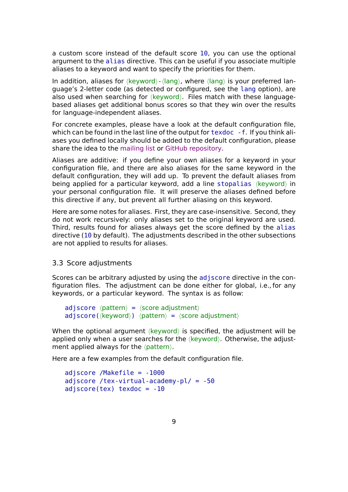a custom score instead of the default score 10, you can use the optional argument to the alias directive. This can be useful if you associate multiple aliases to a keyword and want to specify the priorities for them.

In addition, aliases for *⟨*keyword*⟩*-*⟨*lang*⟩*, where *⟨*lang*⟩* is your preferred language's 2-letter code (as detected or configured, see the lang option), are also used when searching for *⟨*keyword*⟩*. Files match with these languagebased aliases get additional bonus scores so that they win over the results for language-independent aliases.

For concrete examples, please have a look at the default configuration file, which can be found in the last line of the output for texdoc - f. If you think aliases you defined locally should be added to the default configuration, please share the idea to the mailing list or GitHub repository.

Aliases are additive: if you define your own aliases for a keyword in your configuration file, and there are also aliases for the same keyword in the default configuration[, they will a](http://lists.tug.org/texdoc)d[d up. To prevent th](https://github.com/TeX-Live/texdoc)e default aliases from being applied for a particular keyword, add a line stopalias *⟨*keyword*⟩* in your personal configuration file. It will preserve the aliases defined before this directive if any, but prevent all further aliasing on this keyword.

Here are some notes for aliases. First, they are case-insensitive. Second, they do not work recursively: only aliases set to the original keyword are used. Third, results found for aliases always get the score defined by the alias directive (10 by default). The adjustments described in the other subsections are not applied to results for aliases.

# 3.3 Score adjustments

Scores can be arbitrary adjusted by using the adjscore directive in the configuration files. The adjustment can be done either for global, i.e., for any keywords, or a particular keyword. The syntax is as follow:

```
adjscore ⟨pattern⟩ = ⟨score adjustment⟩
adjscore(⟨keyword⟩) ⟨pattern⟩ = ⟨score adjustment⟩
```
When the optional argument *⟨*keyword*⟩* is specified, the adjustment will be applied only when a user searches for the *⟨*keyword*⟩*. Otherwise, the adjustment applied always for the *⟨*pattern*⟩*.

Here are a few examples from the default configuration file.

```
adjscore /Makefile = -1000
adjscore /tex-virtual-academy-pl/ = -50
adjscore(tex) texdoc = -10
```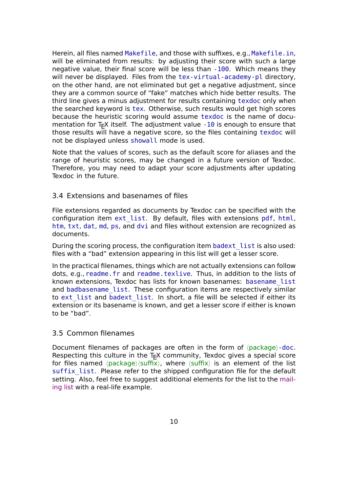Herein, all files named Makefile, and those with suffixes, e.g., Makefile.in, will be eliminated from results: by adjusting their score with such a large negative value, their final score will be less than -100. Which means they will never be displayed. Files from the tex-virtual-academy-pl directory, on the other hand, are not eliminated but get a negative adjustment, since they are a common source of "fake" matches which hide better results. The third line gives a minus adjustment for results containing texdoc only when the searched keyword is tex. Otherwise, such results would get high scores because the heuristic scoring would assume texdoc is the name of documentation for  $Tr X$  itself. The adjustment value  $-10$  is enough to ensure that those results will have a negative score, so the files containing texdoc will not be displayed unless showall mode is used.

Note that the values of scores, such as the default score for aliases and the range of heuristic scores, may be changed in a future version of Texdoc. Therefore, you may need to adapt your score adjustments after updating Texdoc in the future.

# 3.4 Extensions and basenames of files

File extensions regarded as documents by Texdoc can be specified with the configuration item ext\_list. By default, files with extensions pdf, html, htm, txt, dat, md, ps, and dvi and files without extension are recognized as documents.

During the scoring [process, th](#page-11-2)e configuration item badext list is also used: files with a "bad" extension appearing in this list will get a lesser score.

In the practical filenames, things which are not actually extensions can follow dots, e.g., readme.fr and readme.texlive. Thus[, in addition to](#page-12-3) the lists of known extensions, Texdoc has lists for known basenames: basename\_list and badbasename list. These configuration items are respectively similar to ext list and badext list. In short, a file will be selected if either its extension or its basename is known, and get a lesser score if [either is known](#page-12-4) to b[e "bad".](#page-12-5)

# 3.[5 Commo](#page-11-2)n fil[enames](#page-12-3)

<span id="page-9-0"></span>Document filenames of packages are often in the form of *⟨*package*⟩*-doc. Respecting this culture in the  $Tr X$  community, Texdoc gives a special score for files named *⟨*package*⟩⟨*suffix*⟩*, where *⟨*suffix*⟩* is an element of the list suffix list. Please refer to the shipped configuration file for the default setting. Also, feel free to suggest additional elements for the list to the mailing list with a real-life example.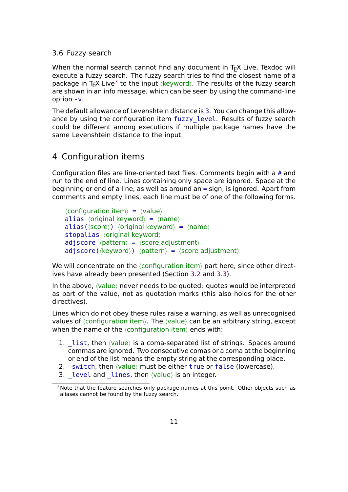# 3.6 Fuzzy search

<span id="page-10-0"></span>When the normal search cannot find any document in T<sub>F</sub>X Live, Texdoc will execute a fuzzy search. The fuzzy search tries to find the closest name of a package in T<sub>E</sub>X Live<sup>3</sup> to the input *⟨k*eyword⟩. The results of the fuzzy search are shown in an info message, which can be seen by using the command-line option -v.

The default allowan[ce](#page-10-1) of Levenshtein distance is 3. You can change this allowance by using the configuration item fuzzy level. Results of fuzzy search could be different among executions if multiple package names have the same Levenshtein distance to the input.

# 4 Configuration items

Configuration files are line-oriented text files. Comments begin with a # and run to the end of line. Lines containing only space are ignored. Space at the beginning or end of a line, as well as around an = sign, is ignored. Apart from comments and empty lines, each line must be of one of the following forms.

*⟨*configuration item*⟩* = *⟨*value*⟩* alias *⟨*original keyword*⟩* = *⟨*name*⟩* alias(*⟨*score*⟩*) *⟨*original keyword*⟩* = *⟨*name*⟩* stopalias *⟨*original keyword*⟩* adjscore *⟨*pattern*⟩* = *⟨*score adjustment*⟩* adjscore(*⟨*keyword*⟩*) *⟨*pattern*⟩* = *⟨*score adjustment*⟩*

We will concentrate on the *⟨*configuration item*⟩* part here, since other directives have already been presented (Section 3.2 and 3.3).

In the above, *⟨*value*⟩* never needs to be quoted: quotes would be interpreted as part of the value, not as quotation marks (this also holds for the other directives).

Lines which do not obey these rules raise a warning, as well as unrecognised values of *⟨*configuration item*⟩*. The *⟨*value*⟩* can be an arbitrary string, except when the name of the *⟨*configuration item*⟩* ends with:

- 1. list, then  $\langle$ *value* $\rangle$  is a coma-separated list of strings. Spaces around commas are ignored. Two consecutive comas or a coma at the beginning or end of the list means the empty string at the corresponding place.
- 2. switch, then  $\langle$ *value* $\rangle$  must be either true or false (lowercase).
- 3. level and lines, then  $\langle$ *value* $\rangle$  is an integer.

<span id="page-10-1"></span> $3$  Note that the feature searches only package names at this point. Other objects such as aliases cannot be found by the fuzzy search.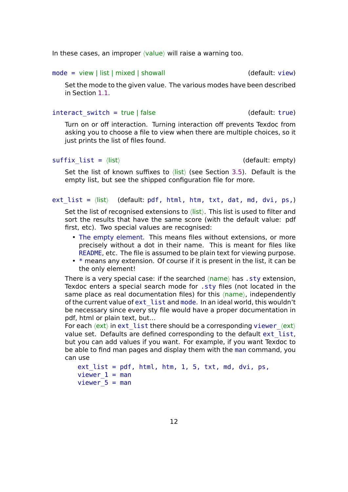In these cases, an improper *⟨*value*⟩* will raise a warning too.

#### mode = view | list | mixed | showall (default: view)

Set the mode to the given value. The various modes have been described in Section 1.1.

#### <span id="page-11-0"></span>interact switch = true | false (default: true)

Turn on or [off](#page-0-0) interaction. Turning interaction off prevents Texdoc from asking you to choose a file to view when there are multiple choices, so it just prints the list of files found.

# <span id="page-11-1"></span>suffix list =  $\langle$ *list* $\rangle$

Set the list of known suffixes to *⟨*list*⟩* (see Section 3.5). Default is the empty list, but see the shipped configuration file for more.

```
ext list = \langlelist\rangleat, md, dvi, ps,)
```
Set the list of recognised extensions to *⟨*list*⟩*. This list is used to filter and sort the results that have the same score (with the default value: pdf first, etc). Two special values are recognised:

- <span id="page-11-2"></span>• The empty element. This means files without extensions, or more precisely without a dot in their name. This is meant for files like README, etc. The file is assumed to be plain text for viewing purpose.
- \* means any extension. Of course if it is present in the list, it can be the only element!

There is a very special case: if the searched *⟨*name*⟩* has .sty extension, Texdoc enters a special search mode for .sty files (not located in the same place as real documentation files) for this *⟨*name*⟩*, independently of the current value of ext\_list and mode. In an ideal world, this wouldn't be necessary since every sty file would have a proper documentation in pdf, html or plain text, but…

For each  $\langle$ ext $\rangle$  in ext list there should be a corresponding viewer  $\langle$ ext $\rangle$ value set. Defaults are defined corresponding to the default ext\_list, but you can add values if you want. For example, if you want Texdoc to be able to find man pages and display them with the man command, you can use

```
ext list = pdf, htm, htm, 1, 5, txt, md, dvi, ps,viewer 1 = man
viewer_5 = man
```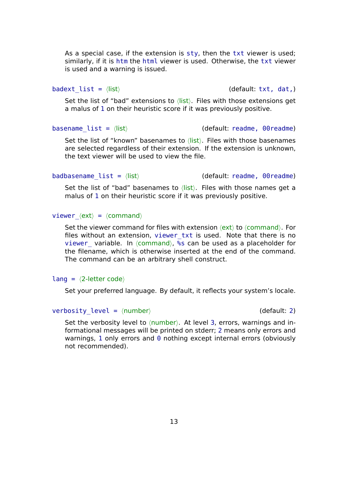As a special case, if the extension is sty, then the txt viewer is used; similarly, if it is htm the html viewer is used. Otherwise, the txt viewer is used and a warning is issued.

<span id="page-12-3"></span>

badext list =  $\langle$ *list* $\rangle$  (default: txt, dat,)

Set the list of "bad" extensions to *⟨*list*⟩*. Files with those extensions get a malus of 1 on their heuristic score if it was previously positive.

<span id="page-12-4"></span>basename list =  $\langle$ list $\rangle$  (default: readme, 00readme)

Set the list of "known" basenames to *⟨*list*⟩*. Files with those basenames are selected regardless of their extension. If the extension is unknown, the text viewer will be used to view the file.

<span id="page-12-5"></span>badbasename list =  $\langle$ list $\rangle$  (default: readme, 00readme)

Set the list of "bad" basenames to *⟨*list*⟩*. Files with those names get a malus of 1 on their heuristic score if it was previously positive.

#### <span id="page-12-0"></span>viewer\_*⟨*ext*⟩* = *⟨*command*⟩*

Set the viewer command for files with extension *⟨*ext*⟩* to *⟨*command*⟩*. For files without an extension, viewer\_txt is used. Note that there is no viewer variable. In  $\langle$ command $\rangle$ , %s can be used as a placeholder for the filename, which is otherwise inserted at the end of the command. The command can be an arbitrary shell construct.

#### <span id="page-12-2"></span>lang = *⟨*2-letter code*⟩*

Set your preferred language. By default, it reflects your system's locale.

## <span id="page-12-1"></span>verbosity level = *⟨number*⟩ (default: 2)

Set the verbosity level to  $\langle$ number $\rangle$ . At level 3, errors, warnings and informational messages will be printed on stderr; 2 means only errors and warnings, 1 only errors and 0 nothing except internal errors (obviously not recommended).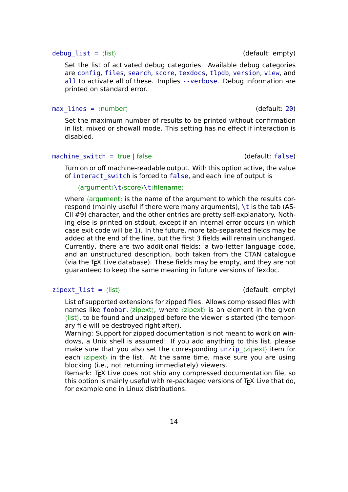#### debug list = *⟨list*⟩ (default: empty)

Set the list of activated debug categories. Available debug categories are config, files, search, score, texdocs, tlpdb, version, view, and all to activate all of these. Implies --verbose. Debug information are printed on standard error.

#### <span id="page-13-1"></span>max\_lines = *⟨*number*⟩* (default: 20)

Set the maximum number of results to be printed without confirmation in list, mixed or showall mode. This setting has no effect if interaction is disabled.

### machine switch = true  $|$  false  $|$  (default: false)

Turn on or off machine-readable output. With this option active, the value of interact\_switch is forced to false, and each line of output is

*⟨*argument*⟩*\t*⟨*score*⟩*\t*⟨*filename*⟩*

<span id="page-13-0"></span>where *⟨*argument*⟩* is the name of the argument to which the results correspond (mainly useful if there were many arguments), \t is the tab (AS-CII #9) character, and the other entries are pretty self-explanatory. Nothing else is printed on stdout, except if an internal error occurs (in which case exit code will be 1). In the future, more tab-separated fields may be added at the end of the line, but the first 3 fields will remain unchanged. Currently, there are two additional fields: a two-letter language code, and an unstructured description, both taken from the CTAN catalogue (via the T<sub>F</sub>X Live database). These fields may be empty, and they are not guaranteed to keep the same meaning in future versions of Texdoc.

### zipext\_list = *⟨*list*⟩* (default: empty)

List of supported extensions for zipped files. Allows compressed files with names like foobar.*⟨*zipext*⟩*, where *⟨*zipext*⟩* is an element in the given *⟨*list*⟩*, to be found and unzipped before the viewer is started (the temporary file will be destroyed right after).

<span id="page-13-2"></span>Warning: Support for zipped documentation is not meant to work on windows, a Unix shell is assumed! If you add anything to this list, please make sure that you also set the corresponding unzip\_*⟨*zipext*⟩* item for each *⟨*zipext*⟩* in the list. At the same time, make sure you are using blocking (i.e., not returning immediately) viewers.

Remark: T<sub>F</sub>X Live does not ship any compressed documentation file, so this option is mainly useful with re-packaged versions of T<sub>F</sub>X Live that do, for example one in Linux distributions.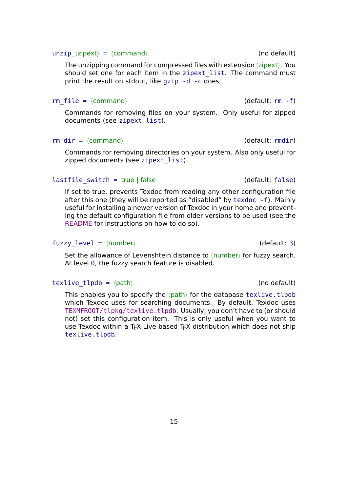#### unzip  $\langle$ zipext $\rangle$  =  $\langle$ command $\rangle$  (no default)

The unzipping command for compressed files with extension *⟨*zipext*⟩*. You should set one for each item in the zipext\_list. The command must print the result on stdout, like gzip -d -c does.

## <span id="page-14-0"></span>rm file =  $\langle$ *command* $\rangle$  (default: rm -f)

Commands for removing files on your system. Only useful for zipped documents (see zipext\_list).

# rm\_dir = *⟨*command*⟩* (default: rmdir)

Commands for r[emoving direc](#page-13-2)tories on your system. Also only useful for zipped documents (see zipext\_list).

# lastfile switch = true | false (default: false)

If set to true, prevents [Texdoc from r](#page-13-2)eading any other configuration file after this one (they will be reported as "disabled" by texdoc -f). Mainly useful for installing a newer version of Texdoc in your home and preventing the default configuration file from older versions to be used (see the README for instructions on how to do so).

# fuzzy level =  $\langle$ number $\rangle$  (default: 3)

[Set the a](https://github.com/TeX-Live/texdoc)llowance of Levenshtein distance to *⟨*number*⟩* for fuzzy search. At level  $\theta$ , the fuzzy search feature is disabled.

# texlive tlpdb =  $\langle$ path $\rangle$  (no default)

This enables you to specify the  $\langle$ *path* $\rangle$  for the database texlive.tlpdb which Texdoc uses for searching documents. By default, Texdoc uses TEXMFROOT/tlpkg/texlive.tlpdb. Usually, you don't have to (or should not) set this configuration item. This is only useful when you want to use Texdoc within a T<sub>F</sub>X Live-based T<sub>F</sub>X distribution which does not ship texlive.tlpdb.